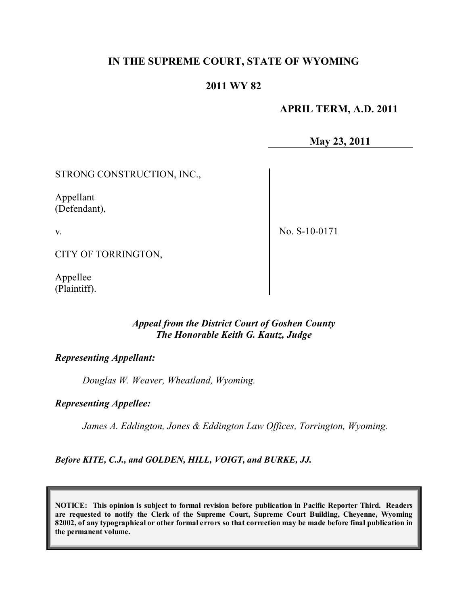## **IN THE SUPREME COURT, STATE OF WYOMING**

### **2011 WY 82**

### **APRIL TERM, A.D. 2011**

**May 23, 2011**

STRONG CONSTRUCTION, INC.,

Appellant (Defendant),

v.

No. S-10-0171

CITY OF TORRINGTON,

Appellee (Plaintiff).

### *Appeal from the District Court of Goshen County The Honorable Keith G. Kautz, Judge*

### *Representing Appellant:*

*Douglas W. Weaver, Wheatland, Wyoming.*

#### *Representing Appellee:*

*James A. Eddington, Jones & Eddington Law Offices, Torrington, Wyoming.*

*Before KITE, C.J., and GOLDEN, HILL, VOIGT, and BURKE, JJ.*

**NOTICE: This opinion is subject to formal revision before publication in Pacific Reporter Third. Readers are requested to notify the Clerk of the Supreme Court, Supreme Court Building, Cheyenne, Wyoming** 82002, of any typographical or other formal errors so that correction may be made before final publication in **the permanent volume.**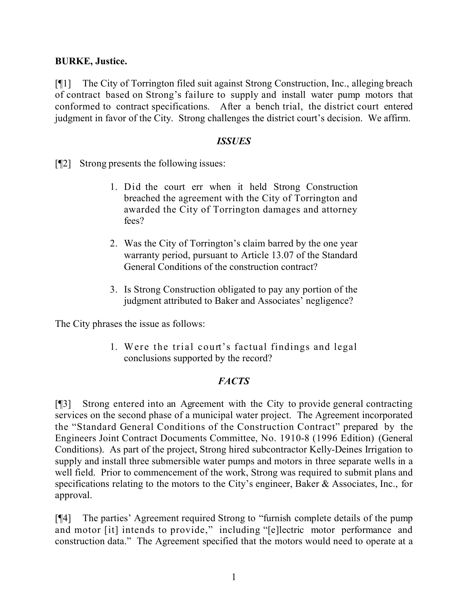### **BURKE, Justice.**

[¶1] The City of Torrington filed suit against Strong Construction, Inc., alleging breach of contract based on Strong's failure to supply and install water pump motors that conformed to contract specifications. After a bench trial, the district court entered judgment in favor of the City. Strong challenges the district court's decision. We affirm.

#### *ISSUES*

[¶2] Strong presents the following issues:

- 1. Did the court err when it held Strong Construction breached the agreement with the City of Torrington and awarded the City of Torrington damages and attorney fees?
- 2. Was the City of Torrington's claim barred by the one year warranty period, pursuant to Article 13.07 of the Standard General Conditions of the construction contract?
- 3. Is Strong Construction obligated to pay any portion of the judgment attributed to Baker and Associates' negligence?

The City phrases the issue as follows:

1. Were the trial court's factual findings and legal conclusions supported by the record?

### *FACTS*

[¶3] Strong entered into an Agreement with the City to provide general contracting services on the second phase of a municipal water project. The Agreement incorporated the "Standard General Conditions of the Construction Contract" prepared by the Engineers Joint Contract Documents Committee, No. 1910-8 (1996 Edition) (General Conditions). As part of the project, Strong hired subcontractor Kelly-Deines Irrigation to supply and install three submersible water pumps and motors in three separate wells in a well field. Prior to commencement of the work, Strong was required to submit plans and specifications relating to the motors to the City's engineer, Baker & Associates, Inc., for approval.

[¶4] The parties' Agreement required Strong to "furnish complete details of the pump and motor [it] intends to provide," including "[e]lectric motor performance and construction data." The Agreement specified that the motors would need to operate at a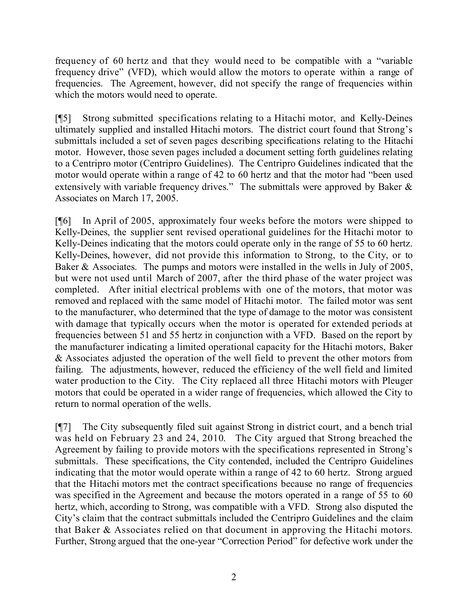frequency of 60 hertz and that they would need to be compatible with a "variable frequency drive" (VFD), which would allow the motors to operate within a range of frequencies. The Agreement, however, did not specify the range of frequencies within which the motors would need to operate.

[¶5] Strong submitted specifications relating to a Hitachi motor, and Kelly-Deines ultimately supplied and installed Hitachi motors. The district court found that Strong's submittals included a set of seven pages describing specifications relating to the Hitachi motor. However, those seven pages included a document setting forth guidelines relating to a Centripro motor (Centripro Guidelines). The Centripro Guidelines indicated that the motor would operate within a range of 42 to 60 hertz and that the motor had "been used extensively with variable frequency drives." The submittals were approved by Baker & Associates on March 17, 2005.

[¶6] In April of 2005, approximately four weeks before the motors were shipped to Kelly-Deines, the supplier sent revised operational guidelines for the Hitachi motor to Kelly-Deines indicating that the motors could operate only in the range of 55 to 60 hertz. Kelly-Deines, however, did not provide this information to Strong, to the City, or to Baker & Associates. The pumps and motors were installed in the wells in July of 2005, but were not used until March of 2007, after the third phase of the water project was completed. After initial electrical problems with one of the motors, that motor was removed and replaced with the same model of Hitachi motor. The failed motor was sent to the manufacturer, who determined that the type of damage to the motor was consistent with damage that typically occurs when the motor is operated for extended periods at frequencies between 51 and 55 hertz in conjunction with a VFD. Based on the report by the manufacturer indicating a limited operational capacity for the Hitachi motors, Baker & Associates adjusted the operation of the well field to prevent the other motors from failing. The adjustments, however, reduced the efficiency of the well field and limited water production to the City. The City replaced all three Hitachi motors with Pleuger motors that could be operated in a wider range of frequencies, which allowed the City to return to normal operation of the wells.

[¶7] The City subsequently filed suit against Strong in district court, and a bench trial was held on February 23 and 24, 2010. The City argued that Strong breached the Agreement by failing to provide motors with the specifications represented in Strong's submittals. These specifications, the City contended, included the Centripro Guidelines indicating that the motor would operate within a range of 42 to 60 hertz. Strong argued that the Hitachi motors met the contract specifications because no range of frequencies was specified in the Agreement and because the motors operated in a range of 55 to 60 hertz, which, according to Strong, was compatible with a VFD. Strong also disputed the City's claim that the contract submittals included the Centripro Guidelines and the claim that Baker & Associates relied on that document in approving the Hitachi motors. Further, Strong argued that the one-year "Correction Period" for defective work under the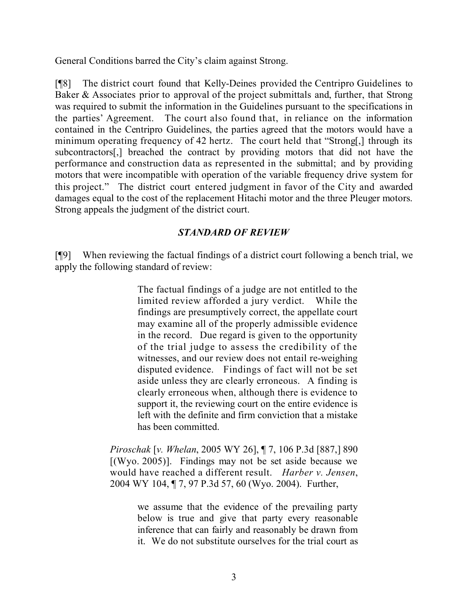General Conditions barred the City's claim against Strong.

[¶8] The district court found that Kelly-Deines provided the Centripro Guidelines to Baker & Associates prior to approval of the project submittals and, further, that Strong was required to submit the information in the Guidelines pursuant to the specifications in the parties' Agreement. The court also found that, in reliance on the information contained in the Centripro Guidelines, the parties agreed that the motors would have a minimum operating frequency of 42 hertz. The court held that "Strong[,] through its subcontractors[,] breached the contract by providing motors that did not have the performance and construction data as represented in the submittal; and by providing motors that were incompatible with operation of the variable frequency drive system for this project." The district court entered judgment in favor of the City and awarded damages equal to the cost of the replacement Hitachi motor and the three Pleuger motors. Strong appeals the judgment of the district court.

## *STANDARD OF REVIEW*

[¶9] When reviewing the factual findings of a district court following a bench trial, we apply the following standard of review:

> The factual findings of a judge are not entitled to the limited review afforded a jury verdict. While the findings are presumptively correct, the appellate court may examine all of the properly admissible evidence in the record. Due regard is given to the opportunity of the trial judge to assess the credibility of the witnesses, and our review does not entail re-weighing disputed evidence. Findings of fact will not be set aside unless they are clearly erroneous. A finding is clearly erroneous when, although there is evidence to support it, the reviewing court on the entire evidence is left with the definite and firm conviction that a mistake has been committed.

*Piroschak* [*v. Whelan*, 2005 WY 26], ¶ 7, 106 P.3d [887,] 890  $[(Wyo. 2005)]$ . Findings may not be set aside because we would have reached a different result. *Harber v. Jensen*, 2004 WY 104, ¶ 7, 97 P.3d 57, 60 (Wyo. 2004). Further,

> we assume that the evidence of the prevailing party below is true and give that party every reasonable inference that can fairly and reasonably be drawn from it. We do not substitute ourselves for the trial court as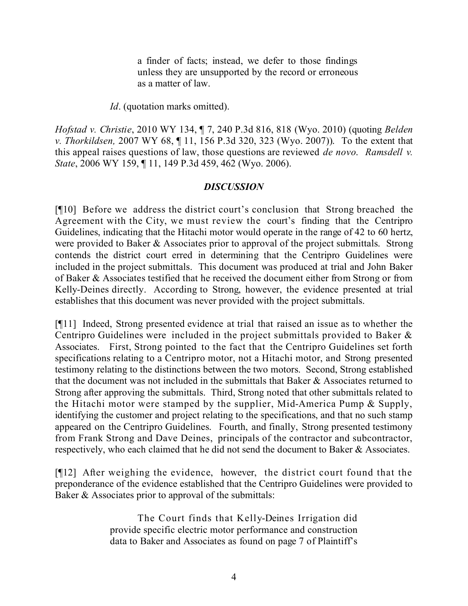a finder of facts; instead, we defer to those findings unless they are unsupported by the record or erroneous as a matter of law.

*Id.* (quotation marks omitted).

*Hofstad v. Christie*, 2010 WY 134, ¶ 7, 240 P.3d 816, 818 (Wyo. 2010) (quoting *Belden v. Thorkildsen,* 2007 WY 68, ¶ 11, 156 P.3d 320, 323 (Wyo. 2007)). To the extent that this appeal raises questions of law, those questions are reviewed *de novo*. *Ramsdell v. State*, 2006 WY 159, ¶ 11, 149 P.3d 459, 462 (Wyo. 2006).

### *DISCUSSION*

[¶10] Before we address the district court's conclusion that Strong breached the Agreement with the City, we must review the court's finding that the Centripro Guidelines, indicating that the Hitachi motor would operate in the range of 42 to 60 hertz, were provided to Baker & Associates prior to approval of the project submittals. Strong contends the district court erred in determining that the Centripro Guidelines were included in the project submittals. This document was produced at trial and John Baker of Baker & Associates testified that he received the document either from Strong or from Kelly-Deines directly. According to Strong, however, the evidence presented at trial establishes that this document was never provided with the project submittals.

[¶11] Indeed, Strong presented evidence at trial that raised an issue as to whether the Centripro Guidelines were included in the project submittals provided to Baker & Associates. First, Strong pointed to the fact that the Centripro Guidelines set forth specifications relating to a Centripro motor, not a Hitachi motor, and Strong presented testimony relating to the distinctions between the two motors. Second, Strong established that the document was not included in the submittals that Baker & Associates returned to Strong after approving the submittals. Third, Strong noted that other submittals related to the Hitachi motor were stamped by the supplier, Mid-America Pump & Supply, identifying the customer and project relating to the specifications, and that no such stamp appeared on the Centripro Guidelines. Fourth, and finally, Strong presented testimony from Frank Strong and Dave Deines, principals of the contractor and subcontractor, respectively, who each claimed that he did not send the document to Baker & Associates.

[¶12] After weighing the evidence, however, the district court found that the preponderance of the evidence established that the Centripro Guidelines were provided to Baker & Associates prior to approval of the submittals:

> The Court finds that Kelly-Deines Irrigation did provide specific electric motor performance and construction data to Baker and Associates as found on page 7 of Plaintiff's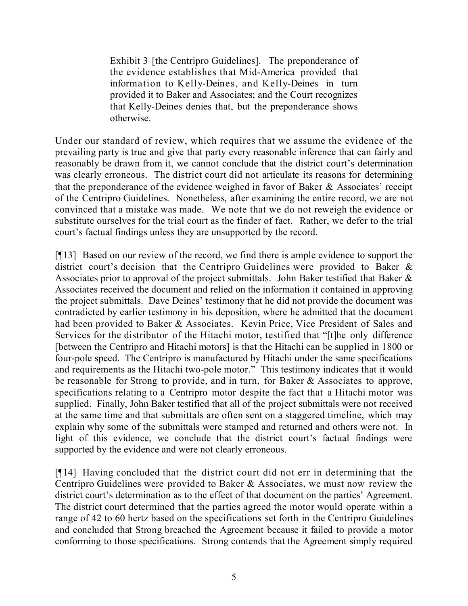Exhibit 3 [the Centripro Guidelines]. The preponderance of the evidence establishes that Mid-America provided that information to Kelly-Deines, and Kelly-Deines in turn provided it to Baker and Associates; and the Court recognizes that Kelly-Deines denies that, but the preponderance shows otherwise.

Under our standard of review, which requires that we assume the evidence of the prevailing party is true and give that party every reasonable inference that can fairly and reasonably be drawn from it, we cannot conclude that the district court's determination was clearly erroneous. The district court did not articulate its reasons for determining that the preponderance of the evidence weighed in favor of Baker & Associates' receipt of the Centripro Guidelines. Nonetheless, after examining the entire record, we are not convinced that a mistake was made. We note that we do not reweigh the evidence or substitute ourselves for the trial court as the finder of fact. Rather, we defer to the trial court's factual findings unless they are unsupported by the record.

[¶13] Based on our review of the record, we find there is ample evidence to support the district court's decision that the Centripro Guidelines were provided to Baker & Associates prior to approval of the project submittals. John Baker testified that Baker & Associates received the document and relied on the information it contained in approving the project submittals. Dave Deines' testimony that he did not provide the document was contradicted by earlier testimony in his deposition, where he admitted that the document had been provided to Baker & Associates. Kevin Price, Vice President of Sales and Services for the distributor of the Hitachi motor, testified that "[t]he only difference [between the Centripro and Hitachi motors] is that the Hitachi can be supplied in 1800 or four-pole speed. The Centripro is manufactured by Hitachi under the same specifications and requirements as the Hitachi two-pole motor." This testimony indicates that it would be reasonable for Strong to provide, and in turn, for Baker & Associates to approve, specifications relating to a Centripro motor despite the fact that a Hitachi motor was supplied. Finally, John Baker testified that all of the project submittals were not received at the same time and that submittals are often sent on a staggered timeline, which may explain why some of the submittals were stamped and returned and others were not. In light of this evidence, we conclude that the district court's factual findings were supported by the evidence and were not clearly erroneous.

[¶14] Having concluded that the district court did not err in determining that the Centripro Guidelines were provided to Baker & Associates, we must now review the district court's determination as to the effect of that document on the parties' Agreement. The district court determined that the parties agreed the motor would operate within a range of 42 to 60 hertz based on the specifications set forth in the Centripro Guidelines and concluded that Strong breached the Agreement because it failed to provide a motor conforming to those specifications. Strong contends that the Agreement simply required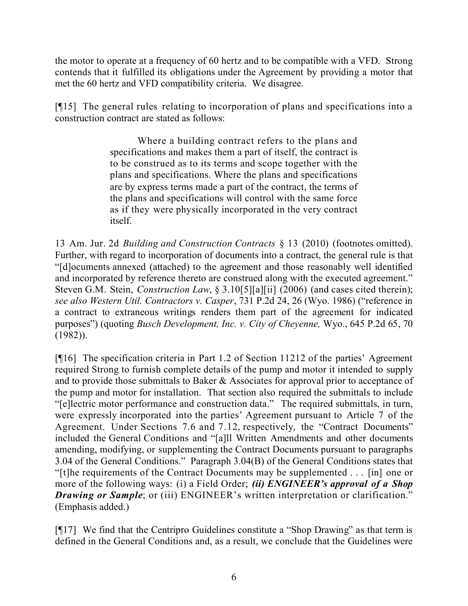the motor to operate at a frequency of 60 hertz and to be compatible with a VFD. Strong contends that it fulfilled its obligations under the Agreement by providing a motor that met the 60 hertz and VFD compatibility criteria. We disagree.

[¶15] The general rules relating to incorporation of plans and specifications into a construction contract are stated as follows:

> Where a building contract refers to the plans and specifications and makes them a part of itself, the contract is to be construed as to its terms and scope together with the plans and specifications. Where the plans and specifications are by express terms made a part of the contract, the terms of the plans and specifications will control with the same force as if they were physically incorporated in the very contract itself.

13 Am. Jur. 2d *Building and Construction Contracts* § 13 (2010) (footnotes omitted). Further, with regard to incorporation of documents into a contract, the general rule is that "[d]ocuments annexed (attached) to the agreement and those reasonably well identified and incorporated by reference thereto are construed along with the executed agreement." Steven G.M. Stein, *Construction Law*, § 3.10[5][a][ii] (2006) (and cases cited therein); *see also Western Util. Contractors v. Casper*, 731 P.2d 24, 26 (Wyo. 1986) ("reference in a contract to extraneous writings renders them part of the agreement for indicated purposes") (quoting *Busch Development, Inc. v. City of Cheyenne,* Wyo., 645 P.2d 65, 70 (1982)).

[¶16] The specification criteria in Part 1.2 of Section 11212 of the parties' Agreement required Strong to furnish complete details of the pump and motor it intended to supply and to provide those submittals to Baker & Associates for approval prior to acceptance of the pump and motor for installation. That section also required the submittals to include "[e]lectric motor performance and construction data." The required submittals, in turn, were expressly incorporated into the parties' Agreement pursuant to Article 7 of the Agreement. Under Sections 7.6 and 7.12, respectively, the "Contract Documents" included the General Conditions and "[a]ll Written Amendments and other documents amending, modifying, or supplementing the Contract Documents pursuant to paragraphs 3.04 of the General Conditions." Paragraph 3.04(B) of the General Conditions states that "[t]he requirements of the Contract Documents may be supplemented . . . [in] one or more of the following ways: (i) a Field Order; *(ii) ENGINEER's approval of a Shop Drawing or Sample*; or (iii) ENGINEER's written interpretation or clarification." (Emphasis added.)

[¶17] We find that the Centripro Guidelines constitute a "Shop Drawing" as that term is defined in the General Conditions and, as a result, we conclude that the Guidelines were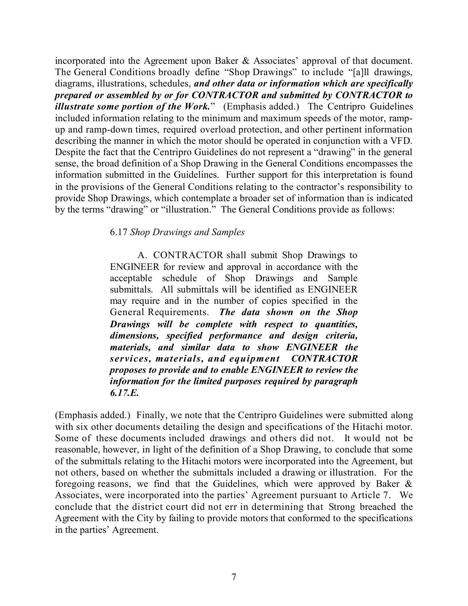incorporated into the Agreement upon Baker & Associates' approval of that document. The General Conditions broadly define "Shop Drawings" to include "[a]ll drawings, diagrams, illustrations, schedules, *and other data or information which are specifically prepared or assembled by or for CONTRACTOR and submitted by CONTRACTOR to illustrate some portion of the Work.*" (Emphasis added.) The Centripro Guidelines included information relating to the minimum and maximum speeds of the motor, rampup and ramp-down times, required overload protection, and other pertinent information describing the manner in which the motor should be operated in conjunction with a VFD. Despite the fact that the Centripro Guidelines do not represent a "drawing" in the general sense, the broad definition of a Shop Drawing in the General Conditions encompasses the information submitted in the Guidelines. Further support for this interpretation is found in the provisions of the General Conditions relating to the contractor's responsibility to provide Shop Drawings, which contemplate a broader set of information than is indicated by the terms "drawing" or "illustration." The General Conditions provide as follows:

### 6.17 *Shop Drawings and Samples*

A. CONTRACTOR shall submit Shop Drawings to ENGINEER for review and approval in accordance with the acceptable schedule of Shop Drawings and Sample submittals. All submittals will be identified as ENGINEER may require and in the number of copies specified in the General Requirements. *The data shown on the Shop Drawings will be complete with respect to quantities, dimensions, specified performance and design criteria, materials, and similar data to show ENGINEER the services, materials, and equipment CONTRACTOR proposes to provide and to enable ENGINEER to review the information for the limited purposes required by paragraph 6.17.E.*

(Emphasis added.) Finally, we note that the Centripro Guidelines were submitted along with six other documents detailing the design and specifications of the Hitachi motor. Some of these documents included drawings and others did not. It would not be reasonable, however, in light of the definition of a Shop Drawing, to conclude that some of the submittals relating to the Hitachi motors were incorporated into the Agreement, but not others, based on whether the submittals included a drawing or illustration. For the foregoing reasons, we find that the Guidelines, which were approved by Baker  $\&$ Associates, were incorporated into the parties' Agreement pursuant to Article 7. We conclude that the district court did not err in determining that Strong breached the Agreement with the City by failing to provide motors that conformed to the specifications in the parties' Agreement.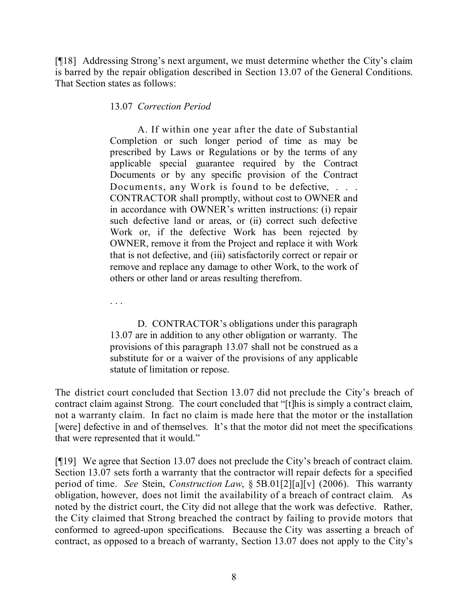[¶18] Addressing Strong's next argument, we must determine whether the City's claim is barred by the repair obligation described in Section 13.07 of the General Conditions. That Section states as follows:

13.07 *Correction Period*

A. If within one year after the date of Substantial Completion or such longer period of time as may be prescribed by Laws or Regulations or by the terms of any applicable special guarantee required by the Contract Documents or by any specific provision of the Contract Documents, any Work is found to be defective, ... CONTRACTOR shall promptly, without cost to OWNER and in accordance with OWNER's written instructions: (i) repair such defective land or areas, or (ii) correct such defective Work or, if the defective Work has been rejected by OWNER, remove it from the Project and replace it with Work that is not defective, and (iii) satisfactorily correct or repair or remove and replace any damage to other Work, to the work of others or other land or areas resulting therefrom.

. . .

D. CONTRACTOR's obligations under this paragraph 13.07 are in addition to any other obligation or warranty. The provisions of this paragraph 13.07 shall not be construed as a substitute for or a waiver of the provisions of any applicable statute of limitation or repose.

The district court concluded that Section 13.07 did not preclude the City's breach of contract claim against Strong. The court concluded that "[t]his is simply a contract claim, not a warranty claim. In fact no claim is made here that the motor or the installation [were] defective in and of themselves. It's that the motor did not meet the specifications that were represented that it would."

[¶19] We agree that Section 13.07 does not preclude the City's breach of contract claim. Section 13.07 sets forth a warranty that the contractor will repair defects for a specified period of time. *See* Stein, *Construction Law*, § 5B.01[2][a][v] (2006). This warranty obligation, however, does not limit the availability of a breach of contract claim. As noted by the district court, the City did not allege that the work was defective. Rather, the City claimed that Strong breached the contract by failing to provide motors that conformed to agreed-upon specifications. Because the City was asserting a breach of contract, as opposed to a breach of warranty, Section 13.07 does not apply to the City's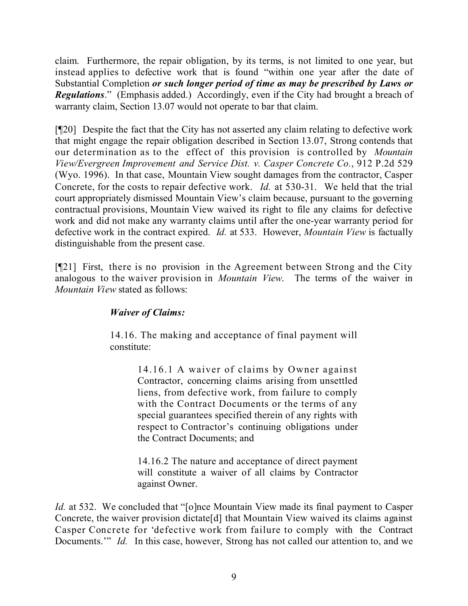claim. Furthermore, the repair obligation, by its terms, is not limited to one year, but instead applies to defective work that is found "within one year after the date of Substantial Completion *or such longer period of time as may be prescribed by Laws or Regulations*." (Emphasis added.) Accordingly, even if the City had brought a breach of warranty claim, Section 13.07 would not operate to bar that claim.

[¶20] Despite the fact that the City has not asserted any claim relating to defective work that might engage the repair obligation described in Section 13.07, Strong contends that our determination as to the effect of this provision is controlled by *Mountain View/Evergreen Improvement and Service Dist. v. Casper Concrete Co.*, 912 P.2d 529 (Wyo. 1996). In that case, Mountain View sought damages from the contractor, Casper Concrete, for the costs to repair defective work. *Id.* at 530-31. We held that the trial court appropriately dismissed Mountain View's claim because, pursuant to the governing contractual provisions, Mountain View waived its right to file any claims for defective work and did not make any warranty claims until after the one-year warranty period for defective work in the contract expired. *Id.* at 533. However, *Mountain View* is factually distinguishable from the present case.

[¶21] First, there is no provision in the Agreement between Strong and the City analogous to the waiver provision in *Mountain View*. The terms of the waiver in *Mountain View* stated as follows:

# *Waiver of Claims:*

14.16. The making and acceptance of final payment will constitute:

> 14.16.1 A waiver of claims by Owner against Contractor, concerning claims arising from unsettled liens, from defective work, from failure to comply with the Contract Documents or the terms of any special guarantees specified therein of any rights with respect to Contractor's continuing obligations under the Contract Documents; and

> 14.16.2 The nature and acceptance of direct payment will constitute a waiver of all claims by Contractor against Owner.

*Id.* at 532. We concluded that "[o]nce Mountain View made its final payment to Casper Concrete, the waiver provision dictate[d] that Mountain View waived its claims against Casper Concrete for 'defective work from failure to comply with the Contract Documents.'" *Id.* In this case, however, Strong has not called our attention to, and we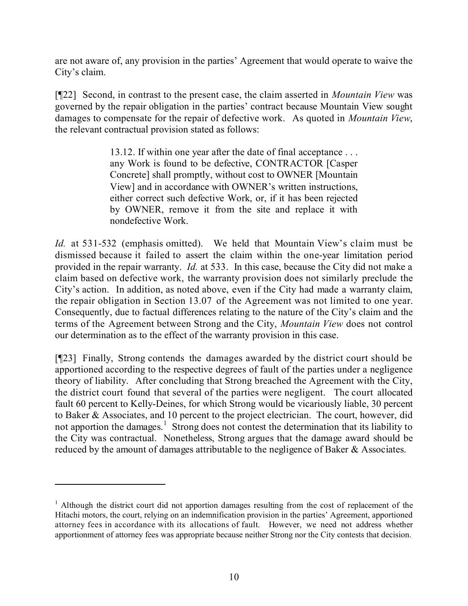are not aware of, any provision in the parties' Agreement that would operate to waive the City's claim.

[¶22] Second, in contrast to the present case, the claim asserted in *Mountain View* was governed by the repair obligation in the parties' contract because Mountain View sought damages to compensate for the repair of defective work. As quoted in *Mountain View*, the relevant contractual provision stated as follows:

> 13.12. If within one year after the date of final acceptance . . . any Work is found to be defective, CONTRACTOR [Casper Concrete] shall promptly, without cost to OWNER [Mountain View] and in accordance with OWNER's written instructions, either correct such defective Work, or, if it has been rejected by OWNER, remove it from the site and replace it with nondefective Work.

*Id.* at 531-532 (emphasis omitted). We held that Mountain View's claim must be dismissed because it failed to assert the claim within the one-year limitation period provided in the repair warranty. *Id.* at 533. In this case, because the City did not make a claim based on defective work, the warranty provision does not similarly preclude the City's action. In addition, as noted above, even if the City had made a warranty claim, the repair obligation in Section 13.07 of the Agreement was not limited to one year. Consequently, due to factual differences relating to the nature of the City's claim and the terms of the Agreement between Strong and the City, *Mountain View* does not control our determination as to the effect of the warranty provision in this case.

[¶23] Finally, Strong contends the damages awarded by the district court should be apportioned according to the respective degrees of fault of the parties under a negligence theory of liability. After concluding that Strong breached the Agreement with the City, the district court found that several of the parties were negligent. The court allocated fault 60 percent to Kelly-Deines, for which Strong would be vicariously liable, 30 percent to Baker & Associates, and 10 percent to the project electrician. The court, however, did not apportion the damages.<sup>1</sup> Strong does not contest the determination that its liability to the City was contractual. Nonetheless, Strong argues that the damage award should be reduced by the amount of damages attributable to the negligence of Baker & Associates.

<sup>&</sup>lt;sup>1</sup> Although the district court did not apportion damages resulting from the cost of replacement of the Hitachi motors, the court, relying on an indemnification provision in the parties' Agreement, apportioned attorney fees in accordance with its allocations of fault. However, we need not address whether apportionment of attorney fees was appropriate because neither Strong nor the City contests that decision.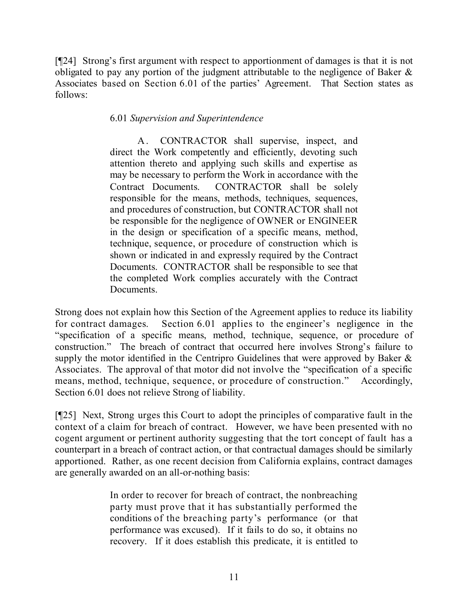[¶24] Strong's first argument with respect to apportionment of damages is that it is not obligated to pay any portion of the judgment attributable to the negligence of Baker & Associates based on Section 6.01 of the parties' Agreement. That Section states as follows:

## 6.01 *Supervision and Superintendence*

A. CONTRACTOR shall supervise, inspect, and direct the Work competently and efficiently, devoting such attention thereto and applying such skills and expertise as may be necessary to perform the Work in accordance with the Contract Documents. CONTRACTOR shall be solely responsible for the means, methods, techniques, sequences, and procedures of construction, but CONTRACTOR shall not be responsible for the negligence of OWNER or ENGINEER in the design or specification of a specific means, method, technique, sequence, or procedure of construction which is shown or indicated in and expressly required by the Contract Documents. CONTRACTOR shall be responsible to see that the completed Work complies accurately with the Contract **Documents**.

Strong does not explain how this Section of the Agreement applies to reduce its liability for contract damages. Section 6.01 applies to the engineer's negligence in the "specification of a specific means, method, technique, sequence, or procedure of construction." The breach of contract that occurred here involves Strong's failure to supply the motor identified in the Centripro Guidelines that were approved by Baker & Associates. The approval of that motor did not involve the "specification of a specific means, method, technique, sequence, or procedure of construction." Accordingly, Section 6.01 does not relieve Strong of liability.

[¶25] Next, Strong urges this Court to adopt the principles of comparative fault in the context of a claim for breach of contract. However, we have been presented with no cogent argument or pertinent authority suggesting that the tort concept of fault has a counterpart in a breach of contract action, or that contractual damages should be similarly apportioned. Rather, as one recent decision from California explains, contract damages are generally awarded on an all-or-nothing basis:

> In order to recover for breach of contract, the nonbreaching party must prove that it has substantially performed the conditions of the breaching party's performance (or that performance was excused). If it fails to do so, it obtains no recovery. If it does establish this predicate, it is entitled to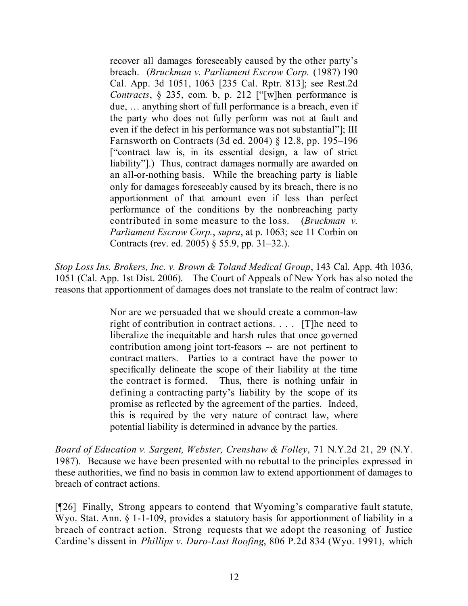recover all damages foreseeably caused by the other party's breach. (*Bruckman v. Parliament Escrow Corp.* (1987) 190 Cal. App. 3d 1051, 1063 [235 Cal. Rptr. 813]; see Rest.2d *Contracts*, § 235, com. b, p. 212 ["[w]hen performance is due, … anything short of full performance is a breach, even if the party who does not fully perform was not at fault and even if the defect in his performance was not substantial"]; III Farnsworth on Contracts (3d ed. 2004) § 12.8, pp. 195–196 ["contract law is, in its essential design, a law of strict liability"].) Thus, contract damages normally are awarded on an all-or-nothing basis. While the breaching party is liable only for damages foreseeably caused by its breach, there is no apportionment of that amount even if less than perfect performance of the conditions by the nonbreaching party contributed in some measure to the loss. (*Bruckman v. Parliament Escrow Corp.*, *supra*, at p. 1063; see 11 Corbin on Contracts (rev. ed. 2005) § 55.9, pp. 31–32.).

*Stop Loss Ins. Brokers, Inc. v. Brown & Toland Medical Group*, 143 Cal. App. 4th 1036, 1051 (Cal. App. 1st Dist. 2006). The Court of Appeals of New York has also noted the reasons that apportionment of damages does not translate to the realm of contract law:

> Nor are we persuaded that we should create a common-law right of contribution in contract actions. . . . [T]he need to liberalize the inequitable and harsh rules that once governed contribution among joint tort-feasors -- are not pertinent to contract matters. Parties to a contract have the power to specifically delineate the scope of their liability at the time the contract is formed. Thus, there is nothing unfair in defining a contracting party's liability by the scope of its promise as reflected by the agreement of the parties. Indeed, this is required by the very nature of contract law, where potential liability is determined in advance by the parties.

*Board of Education v. Sargent, Webster, Crenshaw & Folley*, 71 N.Y.2d 21, 29 (N.Y. 1987). Because we have been presented with no rebuttal to the principles expressed in these authorities, we find no basis in common law to extend apportionment of damages to breach of contract actions.

[¶26] Finally, Strong appears to contend that Wyoming's comparative fault statute, Wyo. Stat. Ann. § 1-1-109, provides a statutory basis for apportionment of liability in a breach of contract action. Strong requests that we adopt the reasoning of Justice Cardine's dissent in *Phillips v. Duro-Last Roofing*, 806 P.2d 834 (Wyo. 1991), which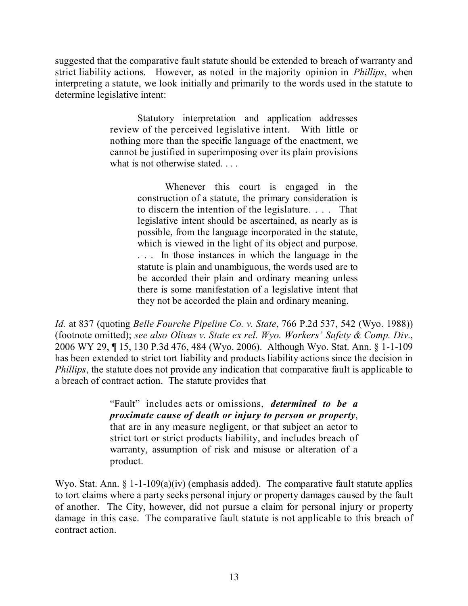suggested that the comparative fault statute should be extended to breach of warranty and strict liability actions. However, as noted in the majority opinion in *Phillips*, when interpreting a statute, we look initially and primarily to the words used in the statute to determine legislative intent:

> Statutory interpretation and application addresses review of the perceived legislative intent. With little or nothing more than the specific language of the enactment, we cannot be justified in superimposing over its plain provisions what is not otherwise stated. . . .

> > Whenever this court is engaged in the construction of a statute, the primary consideration is to discern the intention of the legislature. . . . That legislative intent should be ascertained, as nearly as is possible, from the language incorporated in the statute, which is viewed in the light of its object and purpose. . . . In those instances in which the language in the statute is plain and unambiguous, the words used are to be accorded their plain and ordinary meaning unless there is some manifestation of a legislative intent that they not be accorded the plain and ordinary meaning.

*Id.* at 837 (quoting *Belle Fourche Pipeline Co. v. State*, 766 P.2d 537, 542 (Wyo. 1988)) (footnote omitted); *see also Olivas v. State ex rel. Wyo. Workers' Safety & Comp. Div.*, 2006 WY 29, ¶ 15, 130 P.3d 476, 484 (Wyo. 2006). Although Wyo. Stat. Ann. § 1-1-109 has been extended to strict tort liability and products liability actions since the decision in *Phillips*, the statute does not provide any indication that comparative fault is applicable to a breach of contract action. The statute provides that

> "Fault" includes acts or omissions, *determined to be a proximate cause of death or injury to person or property*, that are in any measure negligent, or that subject an actor to strict tort or strict products liability, and includes breach of warranty, assumption of risk and misuse or alteration of a product.

Wyo. Stat. Ann. § 1-1-109(a)(iv) (emphasis added). The comparative fault statute applies to tort claims where a party seeks personal injury or property damages caused by the fault of another. The City, however, did not pursue a claim for personal injury or property damage in this case. The comparative fault statute is not applicable to this breach of contract action.